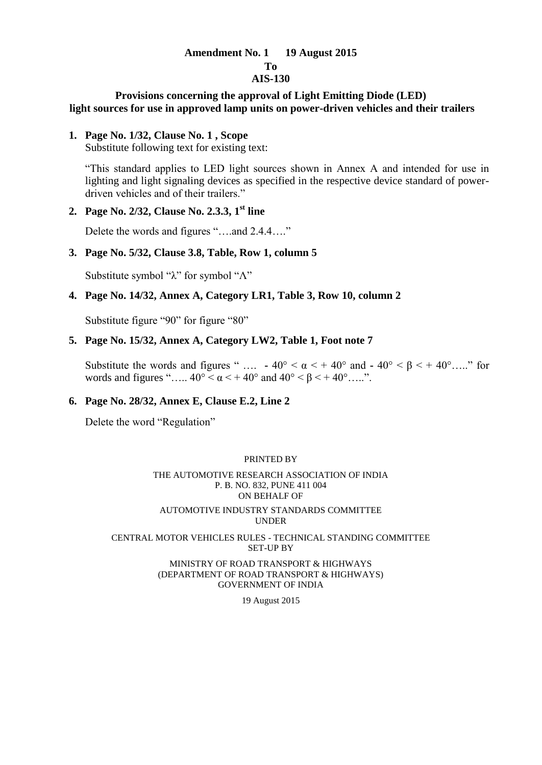# **Amendment No. 1 19 August 2015**

# **To**

# **AIS-130**

# **Provisions concerning the approval of Light Emitting Diode (LED) light sources for use in approved lamp units on power-driven vehicles and their trailers**

# **1. Page No. 1/32, Clause No. 1 , Scope**

Substitute following text for existing text:

"This standard applies to LED light sources shown in Annex A and intended for use in lighting and light signaling devices as specified in the respective device standard of powerdriven vehicles and of their trailers."

# **2. Page No. 2/32, Clause No. 2.3.3, 1st line**

Delete the words and figures "….and 2.4.4…."

# **3. Page No. 5/32, Clause 3.8, Table, Row 1, column 5**

Substitute symbol "λ" for symbol "Λ"

# **4. Page No. 14/32, Annex A, Category LR1, Table 3, Row 10, column 2**

Substitute figure "90" for figure "80"

# **5. Page No. 15/32, Annex A, Category LW2, Table 1, Foot note 7**

Substitute the words and figures " ....  $\cdot$  40° <  $\alpha$  < + 40° and  $\cdot$  40° <  $\beta$  < + 40° ....." for words and figures "…..  $40^{\circ} < \alpha < +40^{\circ}$  and  $40^{\circ} < \beta < +40^{\circ}$  …..".

# **6. Page No. 28/32, Annex E, Clause E.2, Line 2**

Delete the word "Regulation"

#### PRINTED BY

#### THE AUTOMOTIVE RESEARCH ASSOCIATION OF INDIA P. B. NO. 832, PUNE 411 004 ON BEHALF OF AUTOMOTIVE INDUSTRY STANDARDS COMMITTEE UNDER

#### CENTRAL MOTOR VEHICLES RULES - TECHNICAL STANDING COMMITTEE SET-UP BY

MINISTRY OF ROAD TRANSPORT & HIGHWAYS (DEPARTMENT OF ROAD TRANSPORT & HIGHWAYS) GOVERNMENT OF INDIA

19 August 2015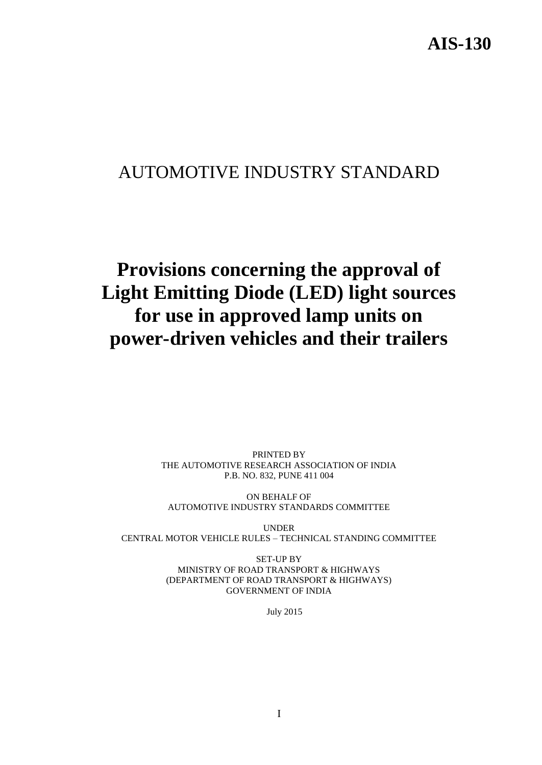# AUTOMOTIVE INDUSTRY STANDARD

# **Provisions concerning the approval of Light Emitting Diode (LED) light sources for use in approved lamp units on power-driven vehicles and their trailers**

PRINTED BY THE AUTOMOTIVE RESEARCH ASSOCIATION OF INDIA P.B. NO. 832, PUNE 411 004

ON BEHALF OF AUTOMOTIVE INDUSTRY STANDARDS COMMITTEE

UNDER CENTRAL MOTOR VEHICLE RULES – TECHNICAL STANDING COMMITTEE

> SET-UP BY MINISTRY OF ROAD TRANSPORT & HIGHWAYS (DEPARTMENT OF ROAD TRANSPORT & HIGHWAYS) GOVERNMENT OF INDIA

> > July 2015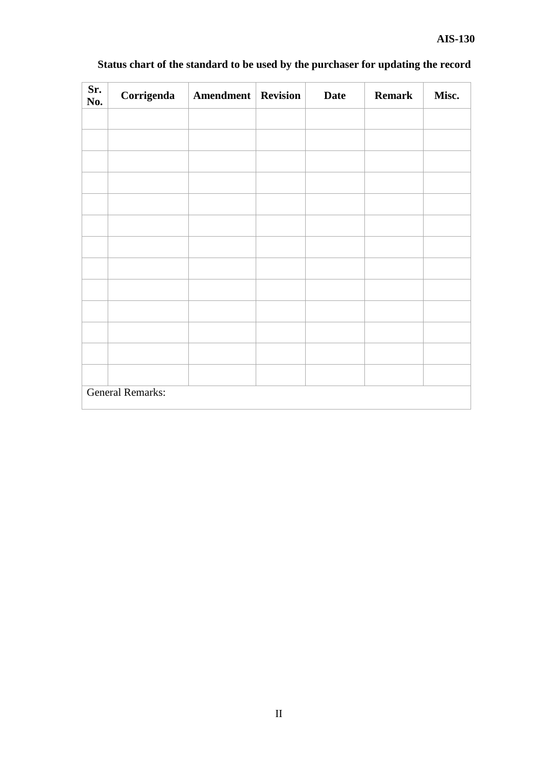| Sr.<br>No. | Corrigenda              | <b>Amendment</b> Revision | <b>Date</b> | <b>Remark</b> | Misc. |
|------------|-------------------------|---------------------------|-------------|---------------|-------|
|            |                         |                           |             |               |       |
|            |                         |                           |             |               |       |
|            |                         |                           |             |               |       |
|            |                         |                           |             |               |       |
|            |                         |                           |             |               |       |
|            |                         |                           |             |               |       |
|            |                         |                           |             |               |       |
|            |                         |                           |             |               |       |
|            |                         |                           |             |               |       |
|            |                         |                           |             |               |       |
|            |                         |                           |             |               |       |
|            |                         |                           |             |               |       |
|            |                         |                           |             |               |       |
|            | <b>General Remarks:</b> |                           |             |               |       |

# **Status chart of the standard to be used by the purchaser for updating the record**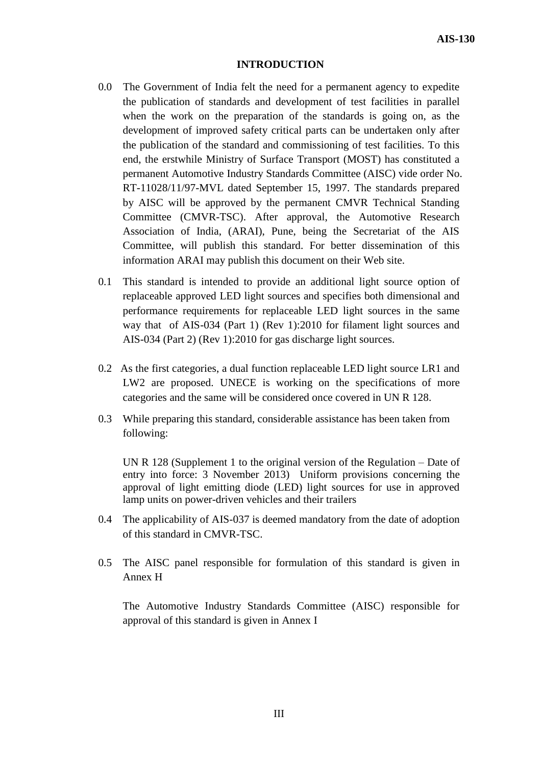#### **INTRODUCTION**

- 0.0 The Government of India felt the need for a permanent agency to expedite the publication of standards and development of test facilities in parallel when the work on the preparation of the standards is going on, as the development of improved safety critical parts can be undertaken only after the publication of the standard and commissioning of test facilities. To this end, the erstwhile Ministry of Surface Transport (MOST) has constituted a permanent Automotive Industry Standards Committee (AISC) vide order No. RT-11028/11/97-MVL dated September 15, 1997. The standards prepared by AISC will be approved by the permanent CMVR Technical Standing Committee (CMVR-TSC). After approval, the Automotive Research Association of India, (ARAI), Pune, being the Secretariat of the AIS Committee, will publish this standard. For better dissemination of this information ARAI may publish this document on their Web site.
- 0.1 This standard is intended to provide an additional light source option of replaceable approved LED light sources and specifies both dimensional and performance requirements for replaceable LED light sources in the same way that of AIS-034 (Part 1) (Rev 1):2010 for filament light sources and AIS-034 (Part 2) (Rev 1):2010 for gas discharge light sources.
- 0.2 As the first categories, a dual function replaceable LED light source LR1 and LW2 are proposed. UNECE is working on the specifications of more categories and the same will be considered once covered in UN R 128.
- 0.3 While preparing this standard, considerable assistance has been taken from following:

 UN R 128 (Supplement 1 to the original version of the Regulation – Date of entry into force: 3 November 2013) Uniform provisions concerning the approval of light emitting diode (LED) light sources for use in approved lamp units on power-driven vehicles and their trailers

- 0.4 The applicability of AIS-037 is deemed mandatory from the date of adoption of this standard in CMVR-TSC.
- 0.5 The AISC panel responsible for formulation of this standard is given in Annex H

 The Automotive Industry Standards Committee (AISC) responsible for approval of this standard is given in Annex I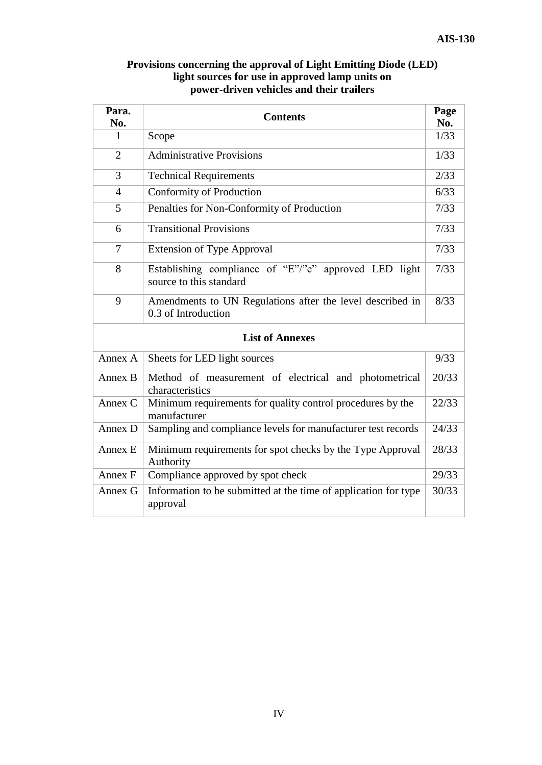| Para.<br><b>Contents</b> |                                                                                  |       |  |  |  |  |
|--------------------------|----------------------------------------------------------------------------------|-------|--|--|--|--|
| No.                      |                                                                                  | No.   |  |  |  |  |
| 1                        | Scope                                                                            | 1/33  |  |  |  |  |
| $\overline{2}$           | <b>Administrative Provisions</b>                                                 | 1/33  |  |  |  |  |
| 3                        | <b>Technical Requirements</b>                                                    | 2/33  |  |  |  |  |
| $\overline{4}$           | Conformity of Production                                                         | 6/33  |  |  |  |  |
| 5                        | Penalties for Non-Conformity of Production                                       | 7/33  |  |  |  |  |
| 6                        | <b>Transitional Provisions</b>                                                   | 7/33  |  |  |  |  |
| $\overline{7}$           | <b>Extension of Type Approval</b>                                                | 7/33  |  |  |  |  |
| 8                        | Establishing compliance of "E"/"e" approved LED light<br>source to this standard | 7/33  |  |  |  |  |
| 9                        | Amendments to UN Regulations after the level described in<br>0.3 of Introduction | 8/33  |  |  |  |  |
|                          | <b>List of Annexes</b>                                                           |       |  |  |  |  |
| Annex A                  | Sheets for LED light sources                                                     | 9/33  |  |  |  |  |
| Annex B                  | Method of measurement of electrical and photometrical<br>characteristics         | 20/33 |  |  |  |  |
| Annex C                  | Minimum requirements for quality control procedures by the<br>manufacturer       | 22/33 |  |  |  |  |
| Annex D                  | Sampling and compliance levels for manufacturer test records                     | 24/33 |  |  |  |  |
| Annex E                  | Minimum requirements for spot checks by the Type Approval<br>Authority           | 28/33 |  |  |  |  |
| Annex F                  | Compliance approved by spot check                                                | 29/33 |  |  |  |  |
| Annex G                  | Information to be submitted at the time of application for type<br>approval      | 30/33 |  |  |  |  |

# **Provisions concerning the approval of Light Emitting Diode (LED) light sources for use in approved lamp units on power-driven vehicles and their trailers**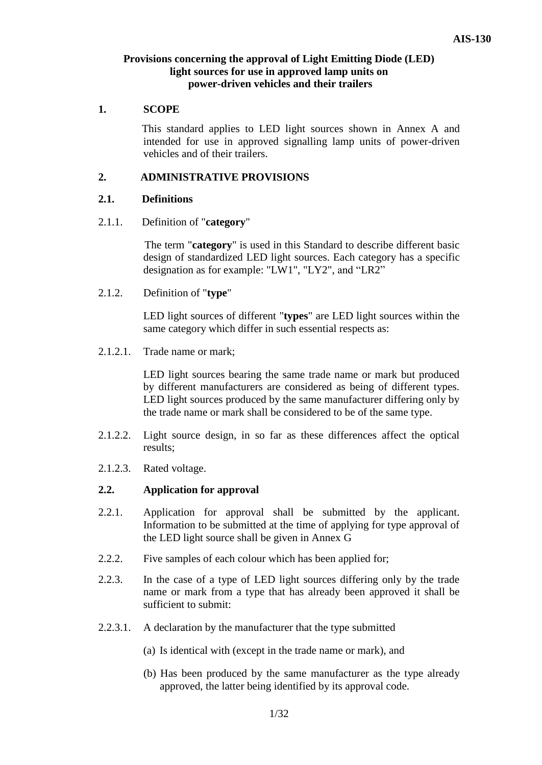# **Provisions concerning the approval of Light Emitting Diode (LED) light sources for use in approved lamp units on power-driven vehicles and their trailers**

# **1. SCOPE**

This standard applies to LED light sources shown in Annex A and intended for use in approved signalling lamp units of power-driven vehicles and of their trailers.

# **2. ADMINISTRATIVE PROVISIONS**

# **2.1. Definitions**

2.1.1. Definition of "**category**"

 The term "**category**" is used in this Standard to describe different basic design of standardized LED light sources. Each category has a specific designation as for example: "LW1", "LY2", and "LR2"

2.1.2. Definition of "**type**"

LED light sources of different "**types**" are LED light sources within the same category which differ in such essential respects as:

2.1.2.1. Trade name or mark;

LED light sources bearing the same trade name or mark but produced by different manufacturers are considered as being of different types. LED light sources produced by the same manufacturer differing only by the trade name or mark shall be considered to be of the same type.

- 2.1.2.2. Light source design, in so far as these differences affect the optical results;
- 2.1.2.3. Rated voltage.

### **2.2. Application for approval**

- 2.2.1. Application for approval shall be submitted by the applicant. Information to be submitted at the time of applying for type approval of the LED light source shall be given in Annex G
- 2.2.2. Five samples of each colour which has been applied for;
- 2.2.3. In the case of a type of LED light sources differing only by the trade name or mark from a type that has already been approved it shall be sufficient to submit:
- 2.2.3.1. A declaration by the manufacturer that the type submitted
	- (a) Is identical with (except in the trade name or mark), and
	- (b) Has been produced by the same manufacturer as the type already approved, the latter being identified by its approval code.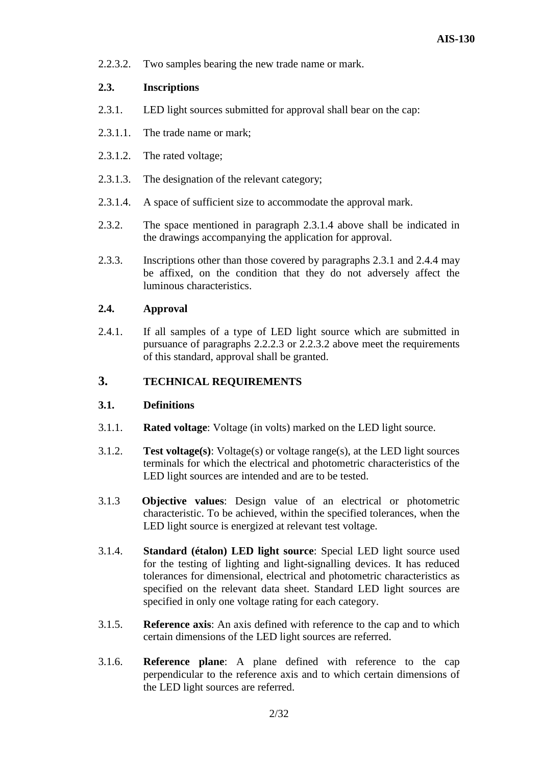2.2.3.2. Two samples bearing the new trade name or mark.

# **2.3. Inscriptions**

- 2.3.1. LED light sources submitted for approval shall bear on the cap:
- 2.3.1.1. The trade name or mark;
- 2.3.1.2. The rated voltage;
- 2.3.1.3. The designation of the relevant category;
- 2.3.1.4. A space of sufficient size to accommodate the approval mark.
- 2.3.2. The space mentioned in paragraph 2.3.1.4 above shall be indicated in the drawings accompanying the application for approval.
- 2.3.3. Inscriptions other than those covered by paragraphs 2.3.1 and 2.4.4 may be affixed, on the condition that they do not adversely affect the luminous characteristics.

# **2.4. Approval**

2.4.1. If all samples of a type of LED light source which are submitted in pursuance of paragraphs 2.2.2.3 or 2.2.3.2 above meet the requirements of this standard, approval shall be granted.

# **3. TECHNICAL REQUIREMENTS**

### **3.1. Definitions**

- 3.1.1. **Rated voltage**: Voltage (in volts) marked on the LED light source.
- 3.1.2. **Test voltage(s)**: Voltage(s) or voltage range(s), at the LED light sources terminals for which the electrical and photometric characteristics of the LED light sources are intended and are to be tested.
- 3.1.3 **Objective values**: Design value of an electrical or photometric characteristic. To be achieved, within the specified tolerances, when the LED light source is energized at relevant test voltage.
- 3.1.4. **Standard (étalon) LED light source**: Special LED light source used for the testing of lighting and light-signalling devices. It has reduced tolerances for dimensional, electrical and photometric characteristics as specified on the relevant data sheet. Standard LED light sources are specified in only one voltage rating for each category.
- 3.1.5. **Reference axis**: An axis defined with reference to the cap and to which certain dimensions of the LED light sources are referred.
- 3.1.6. **Reference plane**: A plane defined with reference to the cap perpendicular to the reference axis and to which certain dimensions of the LED light sources are referred.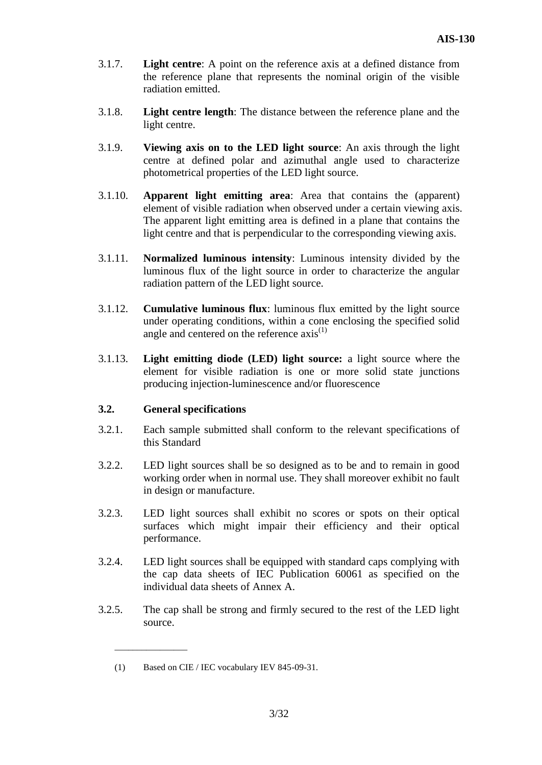- 3.1.7. **Light centre**: A point on the reference axis at a defined distance from the reference plane that represents the nominal origin of the visible radiation emitted.
- 3.1.8. **Light centre length**: The distance between the reference plane and the light centre.
- 3.1.9. **Viewing axis on to the LED light source**: An axis through the light centre at defined polar and azimuthal angle used to characterize photometrical properties of the LED light source.
- 3.1.10. **Apparent light emitting area**: Area that contains the (apparent) element of visible radiation when observed under a certain viewing axis. The apparent light emitting area is defined in a plane that contains the light centre and that is perpendicular to the corresponding viewing axis.
- 3.1.11. **Normalized luminous intensity**: Luminous intensity divided by the luminous flux of the light source in order to characterize the angular radiation pattern of the LED light source.
- 3.1.12. **Cumulative luminous flux**: luminous flux emitted by the light source under operating conditions, within a cone enclosing the specified solid angle and centered on the reference  $axis^{(1)}$
- 3.1.13. **Light emitting diode (LED) light source:** a light source where the element for visible radiation is one or more solid state junctions producing injection-luminescence and/or fluorescence

# **3.2. General specifications**

 $\overline{\phantom{a}}$  , which is a substitution of the set of  $\overline{\phantom{a}}$ 

- 3.2.1. Each sample submitted shall conform to the relevant specifications of this Standard
- 3.2.2. LED light sources shall be so designed as to be and to remain in good working order when in normal use. They shall moreover exhibit no fault in design or manufacture.
- 3.2.3. LED light sources shall exhibit no scores or spots on their optical surfaces which might impair their efficiency and their optical performance.
- 3.2.4. LED light sources shall be equipped with standard caps complying with the cap data sheets of IEC Publication 60061 as specified on the individual data sheets of Annex A.
- 3.2.5. The cap shall be strong and firmly secured to the rest of the LED light source.

<sup>(1)</sup> Based on CIE / IEC vocabulary IEV 845-09-31.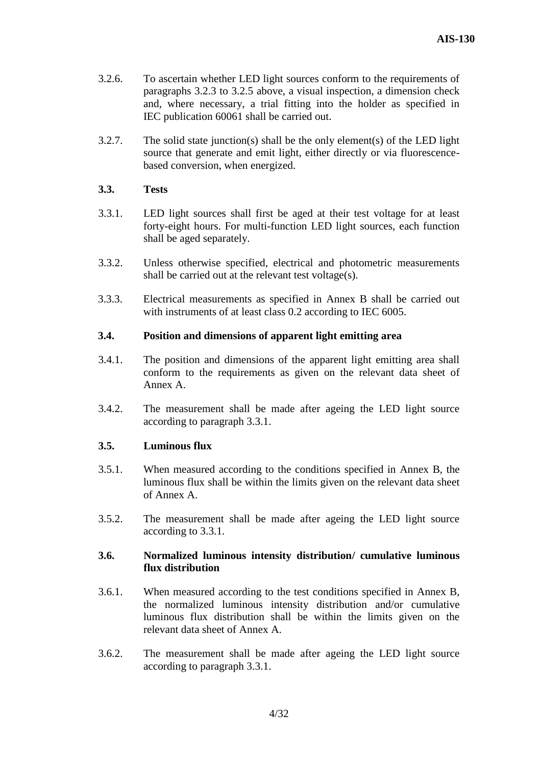- 3.2.6. To ascertain whether LED light sources conform to the requirements of paragraphs 3.2.3 to 3.2.5 above, a visual inspection, a dimension check and, where necessary, a trial fitting into the holder as specified in IEC publication 60061 shall be carried out.
- 3.2.7. The solid state junction(s) shall be the only element(s) of the LED light source that generate and emit light, either directly or via fluorescencebased conversion, when energized.

### **3.3. Tests**

- 3.3.1. LED light sources shall first be aged at their test voltage for at least forty-eight hours. For multi-function LED light sources, each function shall be aged separately.
- 3.3.2. Unless otherwise specified, electrical and photometric measurements shall be carried out at the relevant test voltage(s).
- 3.3.3. Electrical measurements as specified in Annex B shall be carried out with instruments of at least class 0.2 according to IEC 6005.

### **3.4. Position and dimensions of apparent light emitting area**

- 3.4.1. The position and dimensions of the apparent light emitting area shall conform to the requirements as given on the relevant data sheet of Annex A.
- 3.4.2. The measurement shall be made after ageing the LED light source according to paragraph 3.3.1.

### **3.5. Luminous flux**

- 3.5.1. When measured according to the conditions specified in Annex B, the luminous flux shall be within the limits given on the relevant data sheet of Annex A.
- 3.5.2. The measurement shall be made after ageing the LED light source according to 3.3.1.

### **3.6. Normalized luminous intensity distribution/ cumulative luminous flux distribution**

- 3.6.1. When measured according to the test conditions specified in Annex B, the normalized luminous intensity distribution and/or cumulative luminous flux distribution shall be within the limits given on the relevant data sheet of Annex A.
- 3.6.2. The measurement shall be made after ageing the LED light source according to paragraph 3.3.1.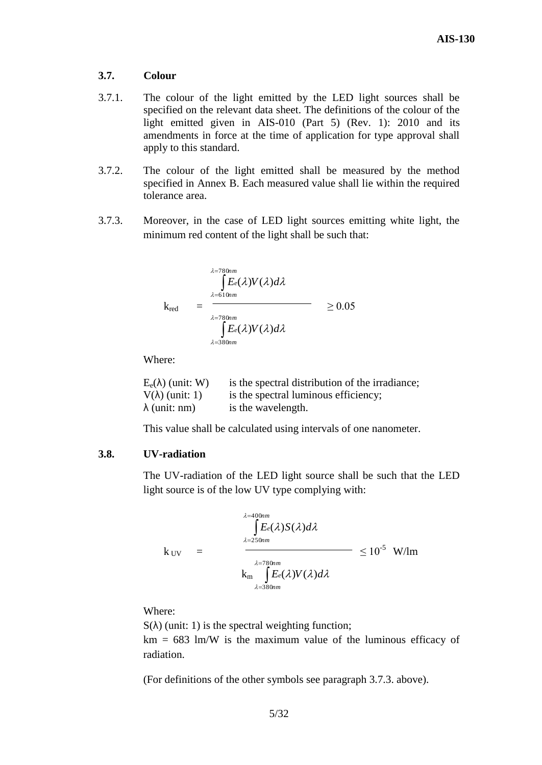### **3.7. Colour**

- 3.7.1. The colour of the light emitted by the LED light sources shall be specified on the relevant data sheet. The definitions of the colour of the light emitted given in AIS-010 (Part 5) (Rev. 1): 2010 and its amendments in force at the time of application for type approval shall apply to this standard.
- 3.7.2. The colour of the light emitted shall be measured by the method specified in Annex B. Each measured value shall lie within the required tolerance area.
- 3.7.3. Moreover, in the case of LED light sources emitting white light, the minimum red content of the light shall be such that:

$$
k_{\text{red}} = \frac{\int_{\lambda=780nm}^{2.780nm} E_{e}(\lambda)V(\lambda)d\lambda}{\int_{\lambda=780nm}^{2.780nm} E_{e}(\lambda)V(\lambda)d\lambda} \ge 0.05
$$

Where:

| $E_e(\lambda)$ (unit: W) | is the spectral distribution of the irradiance; |
|--------------------------|-------------------------------------------------|
| $V(\lambda)$ (unit: 1)   | is the spectral luminous efficiency;            |
| $\lambda$ (unit: nm)     | is the wavelength.                              |

This value shall be calculated using intervals of one nanometer.

### **3.8. UV-radiation**

The UV-radiation of the LED light source shall be such that the LED light source is of the low UV type complying with:

$$
k_{\text{UV}} = \frac{\int_{\lambda=400nm}^{\lambda=400nm} E_e(\lambda) S(\lambda) d\lambda}{\sum_{\lambda=250nm}^{\lambda=780nm} E_e(\lambda) V(\lambda) d\lambda} \leq 10^{-5} \text{ W/Im}
$$

Where:

 $S(\lambda)$  (unit: 1) is the spectral weighting function;  $km = 683$  lm/W is the maximum value of the luminous efficacy of radiation.

(For definitions of the other symbols see paragraph 3.7.3. above).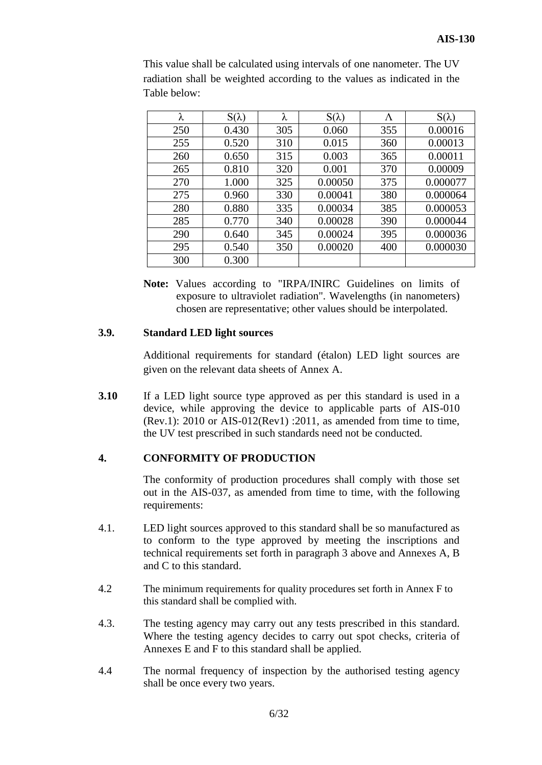| λ   | $S(\lambda)$ | λ   | $S(\lambda)$ | Λ   | $S(\lambda)$ |
|-----|--------------|-----|--------------|-----|--------------|
| 250 | 0.430        | 305 | 0.060        | 355 | 0.00016      |
| 255 | 0.520        | 310 | 0.015        | 360 | 0.00013      |
| 260 | 0.650        | 315 | 0.003        | 365 | 0.00011      |
| 265 | 0.810        | 320 | 0.001        | 370 | 0.00009      |
| 270 | 1.000        | 325 | 0.00050      | 375 | 0.000077     |
| 275 | 0.960        | 330 | 0.00041      | 380 | 0.000064     |
| 280 | 0.880        | 335 | 0.00034      | 385 | 0.000053     |
| 285 | 0.770        | 340 | 0.00028      | 390 | 0.000044     |
| 290 | 0.640        | 345 | 0.00024      | 395 | 0.000036     |
| 295 | 0.540        | 350 | 0.00020      | 400 | 0.000030     |
| 300 | 0.300        |     |              |     |              |

This value shall be calculated using intervals of one nanometer. The UV radiation shall be weighted according to the values as indicated in the Table below:

**Note:** Values according to "IRPA/INIRC Guidelines on limits of exposure to ultraviolet radiation". Wavelengths (in nanometers) chosen are representative; other values should be interpolated.

# **3.9. Standard LED light sources**

Additional requirements for standard (étalon) LED light sources are given on the relevant data sheets of Annex A.

**3.10** If a LED light source type approved as per this standard is used in a device, while approving the device to applicable parts of AIS-010 (Rev.1): 2010 or AIS-012(Rev1) :2011, as amended from time to time, the UV test prescribed in such standards need not be conducted.

# **4. CONFORMITY OF PRODUCTION**

The conformity of production procedures shall comply with those set out in the AIS-037, as amended from time to time, with the following requirements:

- 4.1. LED light sources approved to this standard shall be so manufactured as to conform to the type approved by meeting the inscriptions and technical requirements set forth in paragraph 3 above and Annexes A, B and C to this standard.
- 4.2 The minimum requirements for quality procedures set forth in Annex F to this standard shall be complied with.
- 4.3. The testing agency may carry out any tests prescribed in this standard. Where the testing agency decides to carry out spot checks, criteria of Annexes E and F to this standard shall be applied.
- 4.4 The normal frequency of inspection by the authorised testing agency shall be once every two years.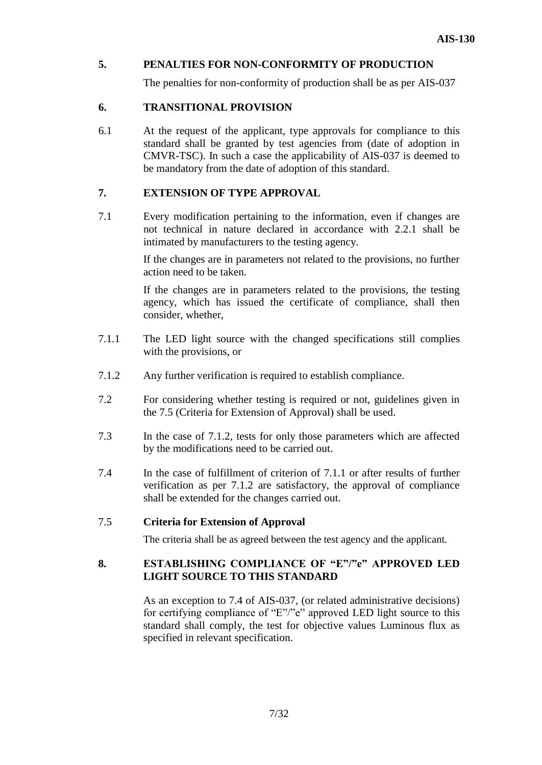# **5. PENALTIES FOR NON-CONFORMITY OF PRODUCTION**

The penalties for non-conformity of production shall be as per AIS-037

# **6. TRANSITIONAL PROVISION**

6.1 At the request of the applicant, type approvals for compliance to this standard shall be granted by test agencies from (date of adoption in CMVR-TSC). In such a case the applicability of AIS-037 is deemed to be mandatory from the date of adoption of this standard.

# **7. EXTENSION OF TYPE APPROVAL**

7.1 Every modification pertaining to the information, even if changes are not technical in nature declared in accordance with 2.2.1 shall be intimated by manufacturers to the testing agency.

> If the changes are in parameters not related to the provisions, no further action need to be taken.

> If the changes are in parameters related to the provisions, the testing agency, which has issued the certificate of compliance, shall then consider, whether,

- 7.1.1 The LED light source with the changed specifications still complies with the provisions, or
- 7.1.2 Any further verification is required to establish compliance.
- 7.2 For considering whether testing is required or not, guidelines given in the 7.5 (Criteria for Extension of Approval) shall be used.
- 7.3 In the case of 7.1.2, tests for only those parameters which are affected by the modifications need to be carried out.
- 7.4 In the case of fulfillment of criterion of 7.1.1 or after results of further verification as per 7.1.2 are satisfactory, the approval of compliance shall be extended for the changes carried out.

# 7.5 **Criteria for Extension of Approval**

The criteria shall be as agreed between the test agency and the applicant.

# **8. ESTABLISHING COMPLIANCE OF "E"/"e" APPROVED LED LIGHT SOURCE TO THIS STANDARD**

As an exception to 7.4 of AIS-037, (or related administrative decisions) for certifying compliance of "E"/"e" approved LED light source to this standard shall comply, the test for objective values Luminous flux as specified in relevant specification.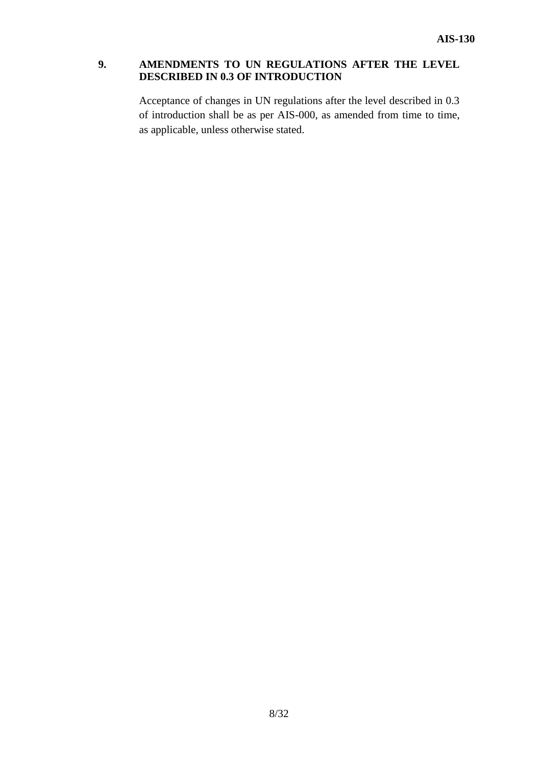# **9. AMENDMENTS TO UN REGULATIONS AFTER THE LEVEL DESCRIBED IN 0.3 OF INTRODUCTION**

Acceptance of changes in UN regulations after the level described in 0.3 of introduction shall be as per AIS-000, as amended from time to time, as applicable, unless otherwise stated.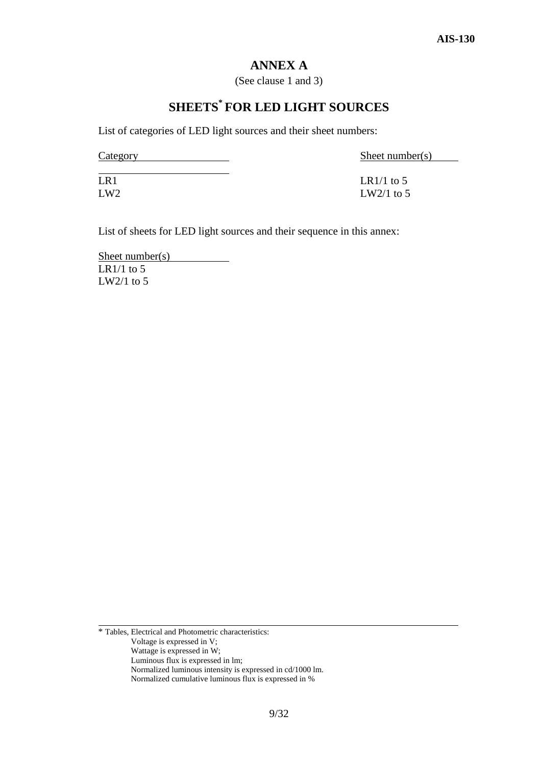# **ANNEX A**

(See clause 1 and 3)

# **SHEETS\* FOR LED LIGHT SOURCES**

List of categories of LED light sources and their sheet numbers:

Category Sheet number(s)

 $LR1/1 to 5$  $LW2/1 to 5$ 

List of sheets for LED light sources and their sequence in this annex:

Sheet number(s) LR1/1 to 5 LW2/1 to 5

\* Tables, Electrical and Photometric characteristics: Voltage is expressed in V; Wattage is expressed in W; Luminous flux is expressed in lm; Normalized luminous intensity is expressed in cd/1000 lm. Normalized cumulative luminous flux is expressed in %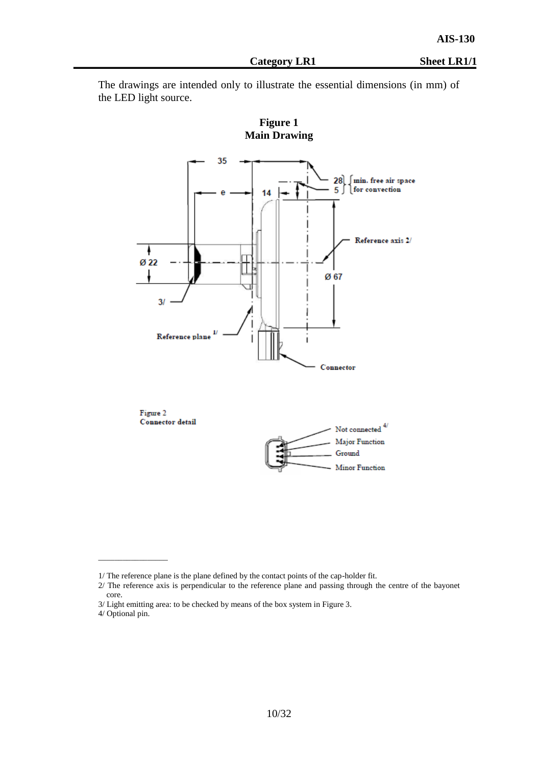The drawings are intended only to illustrate the essential dimensions (in mm) of the LED light source.



 $\overline{\phantom{a}}$  , which is a set of the set of the set of the set of the set of the set of the set of the set of the set of the set of the set of the set of the set of the set of the set of the set of the set of the set of th

<sup>1/</sup> The reference plane is the plane defined by the contact points of the cap-holder fit.

<sup>2/</sup> The reference axis is perpendicular to the reference plane and passing through the centre of the bayonet core.

<sup>3/</sup> Light emitting area: to be checked by means of the box system in Figure 3.

<sup>4/</sup> Optional pin.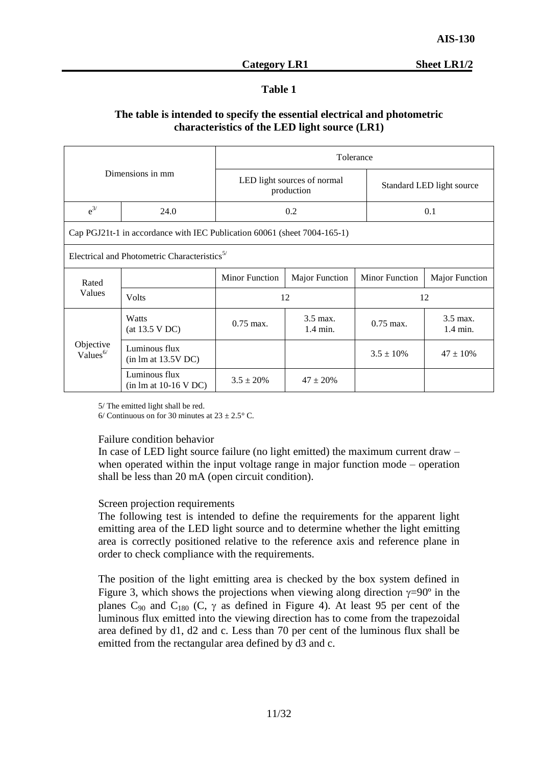# **Table 1**

# **The table is intended to specify the essential electrical and photometric characteristics of the LED light source (LR1)**

| Dimensions in mm                  |                                                                          | Tolerance             |                                           |                           |                                |  |
|-----------------------------------|--------------------------------------------------------------------------|-----------------------|-------------------------------------------|---------------------------|--------------------------------|--|
|                                   |                                                                          |                       | LED light sources of normal<br>production | Standard LED light source |                                |  |
| $e^{3/2}$                         | 24.0                                                                     |                       | 0.2                                       |                           | 0.1                            |  |
|                                   | Cap PGJ21t-1 in accordance with IEC Publication 60061 (sheet 7004-165-1) |                       |                                           |                           |                                |  |
|                                   | Electrical and Photometric Characteristics <sup><math>5/</math></sup>    |                       |                                           |                           |                                |  |
| Rated                             |                                                                          | <b>Minor Function</b> | <b>Major Function</b>                     | <b>Minor Function</b>     | <b>Major Function</b>          |  |
| Values                            | Volts                                                                    | 12                    |                                           | 12                        |                                |  |
|                                   | Watts<br>(at 13.5 VDC)                                                   | $0.75$ max.           | 3.5 max.<br>$1.4 \text{ min.}$            | $0.75$ max.               | 3.5 max.<br>$1.4 \text{ min.}$ |  |
| Objective<br>Values <sup>6/</sup> | Luminous flux<br>$(in \, lm \, at \, 13.5V \, DC)$                       |                       |                                           | $3.5 \pm 10\%$            | $47 \pm 10\%$                  |  |
|                                   | Luminous flux<br>$(in \, lm \, at \, 10-16 \, V \, DC)$                  | $3.5 \pm 20\%$        | $47 \pm 20\%$                             |                           |                                |  |

5/ The emitted light shall be red.

6/ Continuous on for 30 minutes at  $23 \pm 2.5$ ° C.

#### Failure condition behavior

In case of LED light source failure (no light emitted) the maximum current draw – when operated within the input voltage range in major function mode – operation shall be less than 20 mA (open circuit condition).

### Screen projection requirements

The following test is intended to define the requirements for the apparent light emitting area of the LED light source and to determine whether the light emitting area is correctly positioned relative to the reference axis and reference plane in order to check compliance with the requirements.

The position of the light emitting area is checked by the box system defined in Figure 3, which shows the projections when viewing along direction  $\gamma=90^\circ$  in the planes  $C_{90}$  and  $C_{180}$  (C,  $\gamma$  as defined in Figure 4). At least 95 per cent of the luminous flux emitted into the viewing direction has to come from the trapezoidal area defined by d1, d2 and c. Less than 70 per cent of the luminous flux shall be emitted from the rectangular area defined by d3 and c.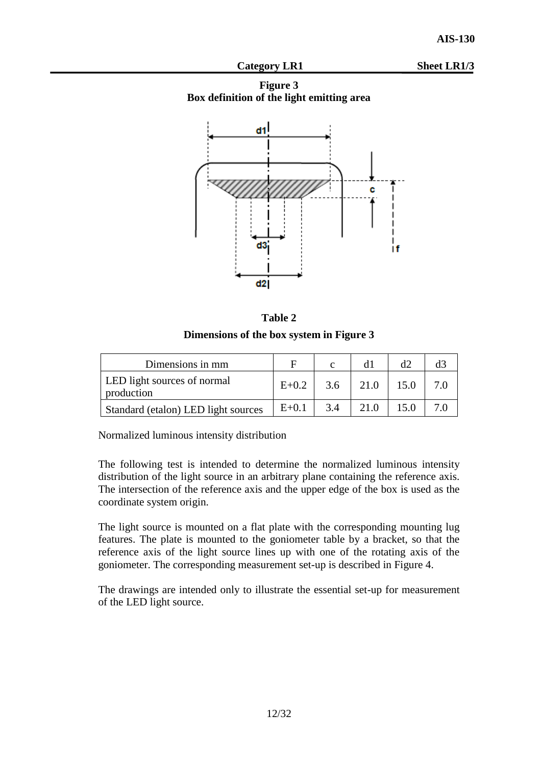Category LR1 Sheet LR1/3

**Figure 3 Box definition of the light emitting area**



| mı<br>n<br>я |  |
|--------------|--|
|--------------|--|

**Dimensions of the box system in Figure 3**

| Dimensions in mm                          | F         |     |      | d2   |  |
|-------------------------------------------|-----------|-----|------|------|--|
| LED light sources of normal<br>production | $E+0.2$   | 3.6 | 21.0 | 15.0 |  |
| Standard (etalon) LED light sources       | $E + 0.1$ | 3.4 |      |      |  |

Normalized luminous intensity distribution

The following test is intended to determine the normalized luminous intensity distribution of the light source in an arbitrary plane containing the reference axis. The intersection of the reference axis and the upper edge of the box is used as the coordinate system origin.

The light source is mounted on a flat plate with the corresponding mounting lug features. The plate is mounted to the goniometer table by a bracket, so that the reference axis of the light source lines up with one of the rotating axis of the goniometer. The corresponding measurement set-up is described in Figure 4.

The drawings are intended only to illustrate the essential set-up for measurement of the LED light source.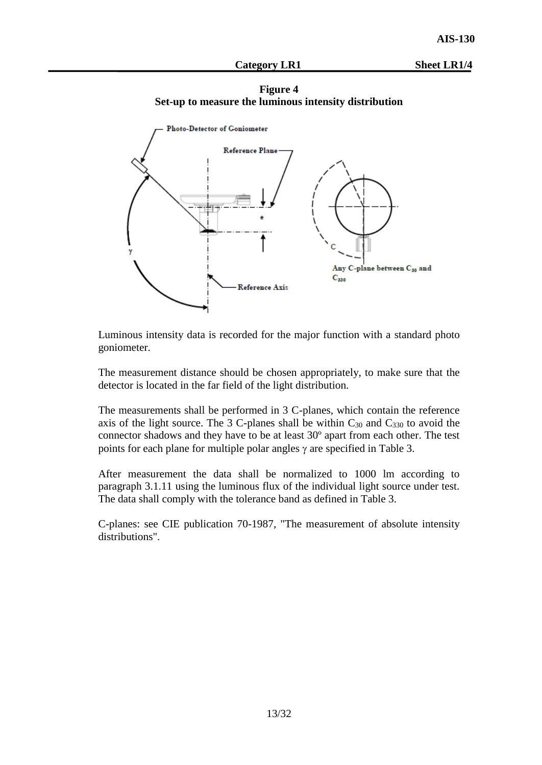#### Category LR1 Sheet LR1/4





Luminous intensity data is recorded for the major function with a standard photo goniometer.

The measurement distance should be chosen appropriately, to make sure that the detector is located in the far field of the light distribution.

The measurements shall be performed in 3 C-planes, which contain the reference axis of the light source. The 3 C-planes shall be within  $C_{30}$  and  $C_{330}$  to avoid the connector shadows and they have to be at least 30º apart from each other. The test points for each plane for multiple polar angles  $\gamma$  are specified in Table 3.

After measurement the data shall be normalized to 1000 lm according to paragraph 3.1.11 using the luminous flux of the individual light source under test. The data shall comply with the tolerance band as defined in Table 3.

C-planes: see CIE publication 70-1987, "The measurement of absolute intensity distributions".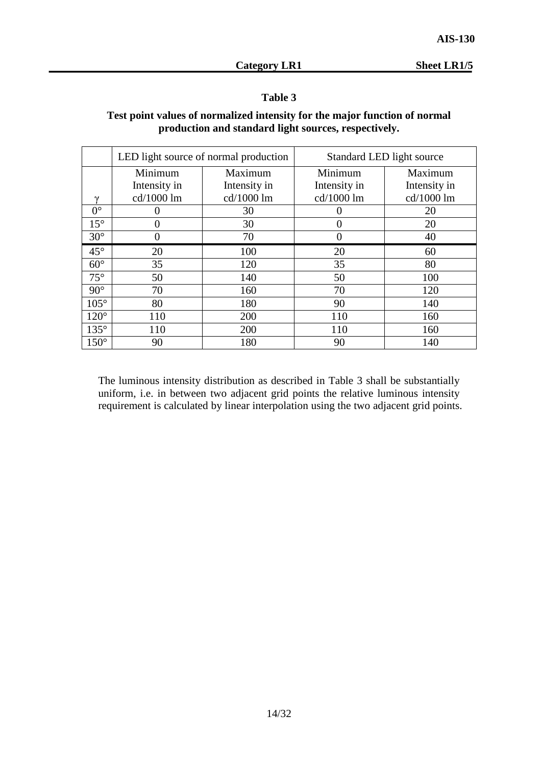# **Table 3**

# **Test point values of normalized intensity for the major function of normal production and standard light sources, respectively.**

|              | LED light source of normal production |              | Standard LED light source |              |
|--------------|---------------------------------------|--------------|---------------------------|--------------|
|              | Minimum                               | Maximum      | Minimum                   | Maximum      |
|              | Intensity in                          | Intensity in | Intensity in              | Intensity in |
| $\gamma$     | cd/1000 lm                            | cd/1000 lm   | cd/1000 lm                | cd/1000 lm   |
| $0^{\circ}$  |                                       | 30           | $\mathbf{\Omega}$         | 20           |
| $15^{\circ}$ | 0                                     | 30           | $\theta$                  | 20           |
| $30^\circ$   | 0                                     | 70           | 0                         | 40           |
| $45^{\circ}$ | 20                                    | 100          | 20                        | 60           |
| $60^\circ$   | 35                                    | 120          | 35                        | 80           |
| $75^\circ$   | 50                                    | 140          | 50                        | 100          |
| $90^\circ$   | 70                                    | 160          | 70                        | 120          |
| $105^\circ$  | 80                                    | 180          | 90                        | 140          |
| $120^\circ$  | 110                                   | 200          | 110                       | 160          |
| $135^\circ$  | 110                                   | 200          | 110                       | 160          |
| $150^\circ$  | 90                                    | 180          | 90                        | 140          |

The luminous intensity distribution as described in Table 3 shall be substantially uniform, i.e. in between two adjacent grid points the relative luminous intensity requirement is calculated by linear interpolation using the two adjacent grid points.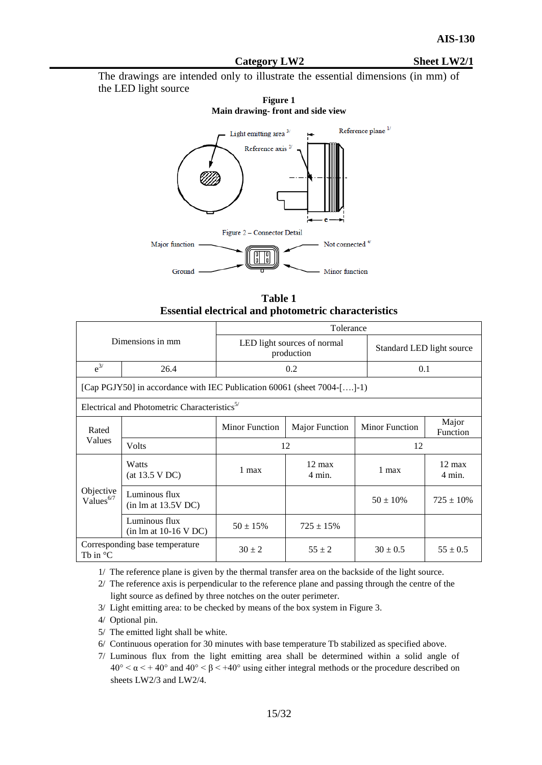#### Category LW2 Sheet LW2/1

The drawings are intended only to illustrate the essential dimensions (in mm) of the LED light source

#### **Figure 1 Main drawing- front and side view**



| Table 1                                                     |
|-------------------------------------------------------------|
| <b>Essential electrical and photometric characteristics</b> |

| Dimensions in mm                                     |                                                                         | Tolerance             |                                           |                           |                                      |  |
|------------------------------------------------------|-------------------------------------------------------------------------|-----------------------|-------------------------------------------|---------------------------|--------------------------------------|--|
|                                                      |                                                                         |                       | LED light sources of normal<br>production | Standard LED light source |                                      |  |
| $e^{3/2}$                                            | 26.4                                                                    |                       | 0.2                                       |                           | 0.1                                  |  |
|                                                      | [Cap PGJY50] in accordance with IEC Publication 60061 (sheet 7004-[]-1) |                       |                                           |                           |                                      |  |
|                                                      | Electrical and Photometric Characteristics <sup>5/</sup>                |                       |                                           |                           |                                      |  |
| Rated                                                |                                                                         | <b>Minor Function</b> | <b>Major Function</b>                     | <b>Minor Function</b>     | Major<br>Function                    |  |
| Values                                               | Volts                                                                   |                       | 12                                        | 12                        |                                      |  |
|                                                      | Watts<br>(at 13.5 VDC)                                                  | $1$ max               | $12 \text{ max}$<br>$4 \text{ min.}$      | 1 max                     | $12 \text{ max}$<br>$4 \text{ min.}$ |  |
| Objective<br>Values <sup>6/7</sup>                   | Luminous flux<br>$(in \, lm \, at \, 13.5V \, DC)$                      |                       |                                           | $50 \pm 10\%$             | $725 \pm 10\%$                       |  |
|                                                      | Luminous flux<br>$(in \, lm \, at \, 10-16 \, V \, DC)$                 | $50 \pm 15\%$         | $725 \pm 15\%$                            |                           |                                      |  |
| Corresponding base temperature<br>Th in $\mathrm{C}$ |                                                                         | $30 \pm 2$            | $55 \pm 2$                                | $30 \pm 0.5$              | $55 \pm 0.5$                         |  |

1/ The reference plane is given by the thermal transfer area on the backside of the light source.

2/ The reference axis is perpendicular to the reference plane and passing through the centre of the light source as defined by three notches on the outer perimeter.

- 3/ Light emitting area: to be checked by means of the box system in Figure 3.
- 4/ Optional pin.
- 5/ The emitted light shall be white.
- 6/ Continuous operation for 30 minutes with base temperature Tb stabilized as specified above.
- 7/ Luminous flux from the light emitting area shall be determined within a solid angle of  $40^{\circ} < \alpha < +40^{\circ}$  and  $40^{\circ} < \beta < +40^{\circ}$  using either integral methods or the procedure described on sheets LW2/3 and LW2/4.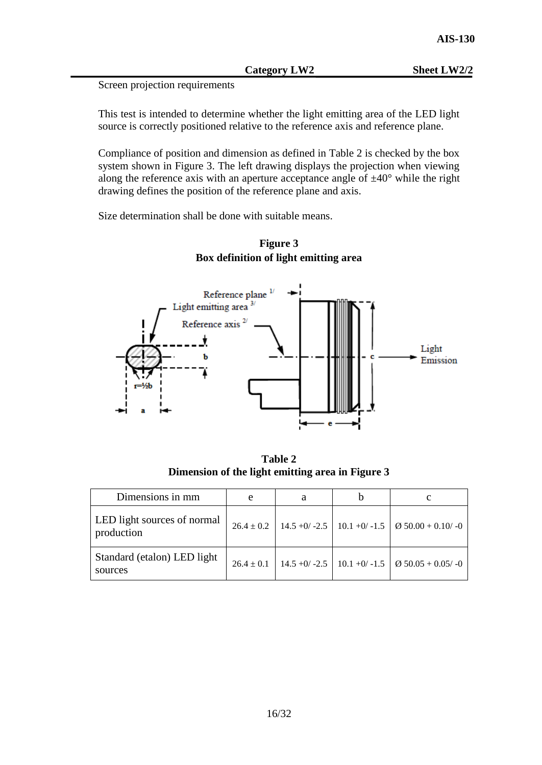Category LW2 Sheet LW2/2

This test is intended to determine whether the light emitting area of the LED light source is correctly positioned relative to the reference axis and reference plane.

Compliance of position and dimension as defined in Table 2 is checked by the box system shown in Figure 3. The left drawing displays the projection when viewing along the reference axis with an aperture acceptance angle of  $\pm 40^{\circ}$  while the right drawing defines the position of the reference plane and axis.

Size determination shall be done with suitable means.





**Table 2 Dimension of the light emitting area in Figure 3**

| Dimensions in mm                                 | e | a |                                                                     |
|--------------------------------------------------|---|---|---------------------------------------------------------------------|
| <b>LED</b> light sources of normal<br>production |   |   | $26.4 \pm 0.2$   14.5 +0/ -2.5   10.1 +0/ -1.5   Ø 50.00 + 0.10/ -0 |
| Standard (etalon) LED light<br>sources           |   |   | $26.4 \pm 0.1$   14.5 +0/ -2.5   10.1 +0/ -1.5   Ø 50.05 + 0.05/ -0 |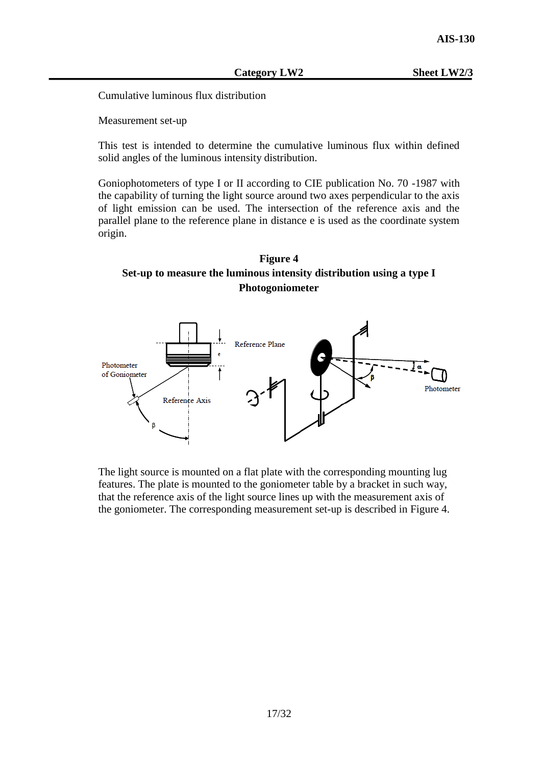Cumulative luminous flux distribution

Measurement set-up

This test is intended to determine the cumulative luminous flux within defined solid angles of the luminous intensity distribution.

Goniophotometers of type I or II according to CIE publication No. 70 -1987 with the capability of turning the light source around two axes perpendicular to the axis of light emission can be used. The intersection of the reference axis and the parallel plane to the reference plane in distance e is used as the coordinate system origin.

# **Figure 4 Set-up to measure the luminous intensity distribution using a type I Photogoniometer**



The light source is mounted on a flat plate with the corresponding mounting lug features. The plate is mounted to the goniometer table by a bracket in such way, that the reference axis of the light source lines up with the measurement axis of the goniometer. The corresponding measurement set-up is described in Figure 4.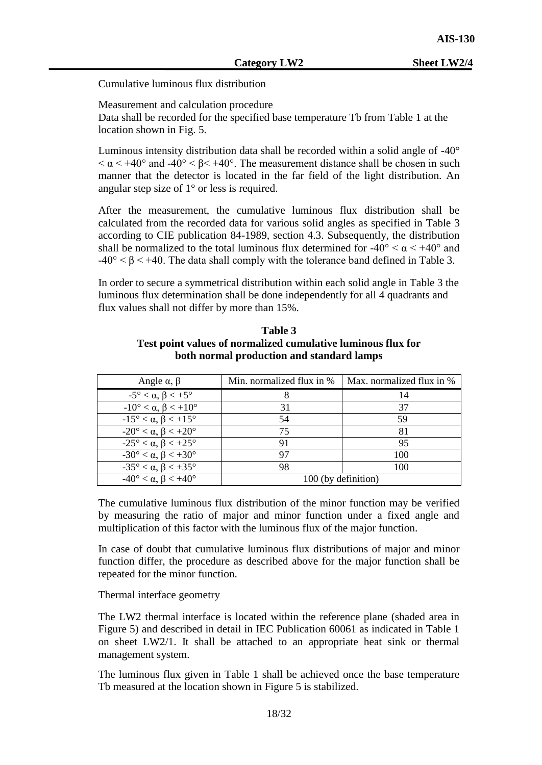Cumulative luminous flux distribution

Measurement and calculation procedure

Data shall be recorded for the specified base temperature Tb from Table 1 at the location shown in Fig. 5.

Luminous intensity distribution data shall be recorded within a solid angle of -40°  $\alpha$  < +40° and -40° <  $\beta$  < +40°. The measurement distance shall be chosen in such manner that the detector is located in the far field of the light distribution. An angular step size of 1° or less is required.

After the measurement, the cumulative luminous flux distribution shall be calculated from the recorded data for various solid angles as specified in Table 3 according to CIE publication 84-1989, section 4.3. Subsequently, the distribution shall be normalized to the total luminous flux determined for  $-40^{\circ} < \alpha < +40^{\circ}$  and  $-40^{\circ} < \beta < +40$ . The data shall comply with the tolerance band defined in Table 3.

In order to secure a symmetrical distribution within each solid angle in Table 3 the luminous flux determination shall be done independently for all 4 quadrants and flux values shall not differ by more than 15%.

### **Table 3 Test point values of normalized cumulative luminous flux for both normal production and standard lamps**

| Angle $\alpha$ , $\beta$                    | Min. normalized flux in % | Max. normalized flux in % |  |
|---------------------------------------------|---------------------------|---------------------------|--|
| $-5^\circ < \alpha, \beta < +5^\circ$       |                           | 14                        |  |
| $-10^{\circ} < \alpha, \beta < +10^{\circ}$ | 31                        | 37                        |  |
| $-15^{\circ} < \alpha, \beta < +15^{\circ}$ | 54                        | 59                        |  |
| $-20^{\circ} < \alpha, \beta < +20^{\circ}$ | 75                        | 81                        |  |
| $-25^{\circ} < \alpha, \beta < +25^{\circ}$ | 91                        | 95                        |  |
| $-30^{\circ} < \alpha, \beta < +30^{\circ}$ | 97                        | 100                       |  |
| $-35^{\circ} < \alpha, \beta < +35^{\circ}$ | 98                        | 100                       |  |
| $-40^{\circ} < \alpha, \beta < +40^{\circ}$ | 100 (by definition)       |                           |  |

The cumulative luminous flux distribution of the minor function may be verified by measuring the ratio of major and minor function under a fixed angle and multiplication of this factor with the luminous flux of the major function.

In case of doubt that cumulative luminous flux distributions of major and minor function differ, the procedure as described above for the major function shall be repeated for the minor function.

Thermal interface geometry

The LW2 thermal interface is located within the reference plane (shaded area in Figure 5) and described in detail in IEC Publication 60061 as indicated in Table 1 on sheet LW2/1. It shall be attached to an appropriate heat sink or thermal management system.

The luminous flux given in Table 1 shall be achieved once the base temperature Tb measured at the location shown in Figure 5 is stabilized.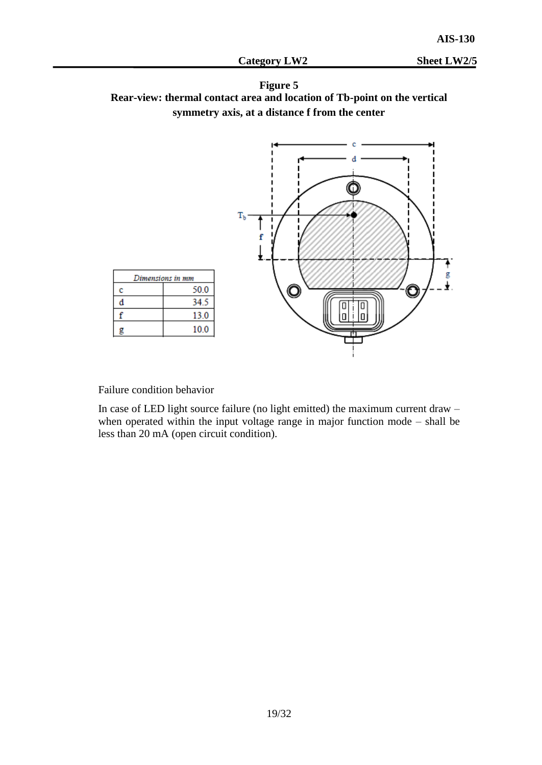



Failure condition behavior

In case of LED light source failure (no light emitted) the maximum current draw – when operated within the input voltage range in major function mode – shall be less than 20 mA (open circuit condition).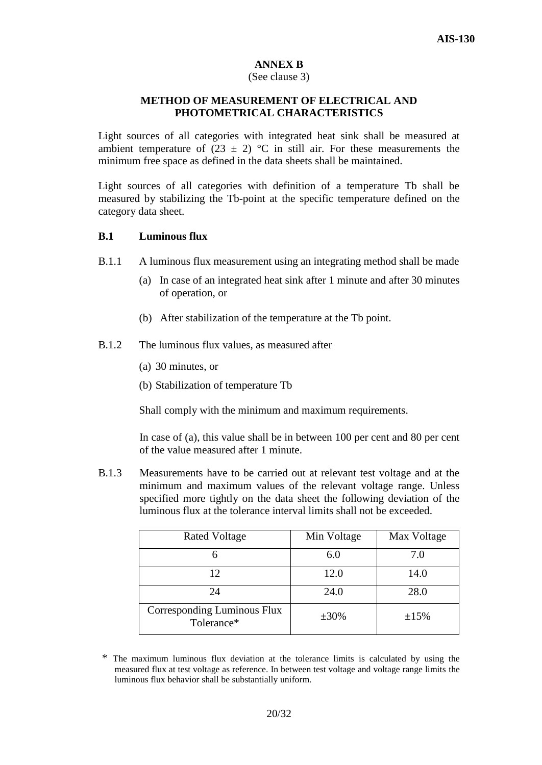# **ANNEX B**

# (See clause 3)

# **METHOD OF MEASUREMENT OF ELECTRICAL AND PHOTOMETRICAL CHARACTERISTICS**

Light sources of all categories with integrated heat sink shall be measured at ambient temperature of  $(23 \pm 2)$  °C in still air. For these measurements the minimum free space as defined in the data sheets shall be maintained.

Light sources of all categories with definition of a temperature Tb shall be measured by stabilizing the Tb-point at the specific temperature defined on the category data sheet.

## **B.1 Luminous flux**

- B.1.1 A luminous flux measurement using an integrating method shall be made
	- (a) In case of an integrated heat sink after 1 minute and after 30 minutes of operation, or
	- (b) After stabilization of the temperature at the Tb point.
- B.1.2 The luminous flux values, as measured after
	- (a) 30 minutes, or
	- (b) Stabilization of temperature Tb

Shall comply with the minimum and maximum requirements.

In case of (a), this value shall be in between 100 per cent and 80 per cent of the value measured after 1 minute.

B.1.3 Measurements have to be carried out at relevant test voltage and at the minimum and maximum values of the relevant voltage range. Unless specified more tightly on the data sheet the following deviation of the luminous flux at the tolerance interval limits shall not be exceeded.

| <b>Rated Voltage</b>                      | Min Voltage | Max Voltage |
|-------------------------------------------|-------------|-------------|
|                                           | 6.0         | 7.0         |
| 12                                        | 12.0        | 14.0        |
| 24                                        | 24.0        | 28.0        |
| Corresponding Luminous Flux<br>Tolerance* | $\pm 30\%$  | ±15%        |

<sup>\*</sup> The maximum luminous flux deviation at the tolerance limits is calculated by using the measured flux at test voltage as reference. In between test voltage and voltage range limits the luminous flux behavior shall be substantially uniform.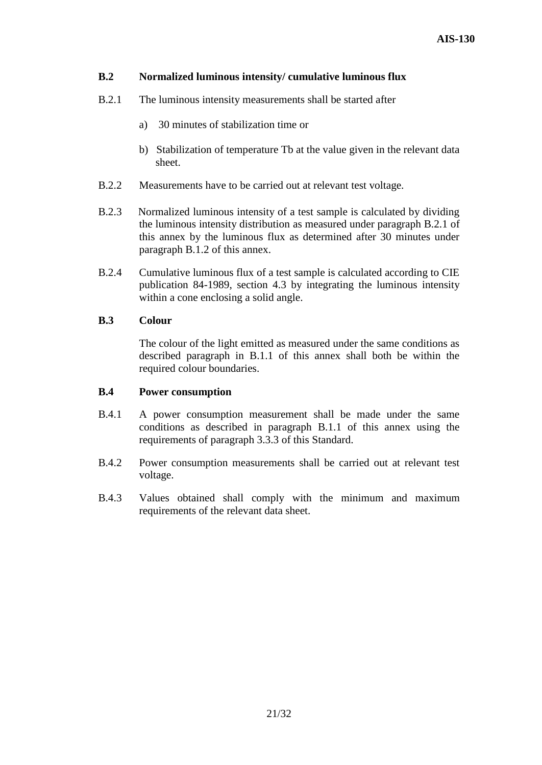# **B.2 Normalized luminous intensity/ cumulative luminous flux**

- B.2.1 The luminous intensity measurements shall be started after
	- a) 30 minutes of stabilization time or
	- b) Stabilization of temperature Tb at the value given in the relevant data sheet.
- B.2.2 Measurements have to be carried out at relevant test voltage.
- B.2.3 Normalized luminous intensity of a test sample is calculated by dividing the luminous intensity distribution as measured under paragraph B.2.1 of this annex by the luminous flux as determined after 30 minutes under paragraph B.1.2 of this annex.
- B.2.4 Cumulative luminous flux of a test sample is calculated according to CIE publication 84-1989, section 4.3 by integrating the luminous intensity within a cone enclosing a solid angle.

### **B.3 Colour**

The colour of the light emitted as measured under the same conditions as described paragraph in B.1.1 of this annex shall both be within the required colour boundaries.

### **B.4 Power consumption**

- B.4.1 A power consumption measurement shall be made under the same conditions as described in paragraph B.1.1 of this annex using the requirements of paragraph 3.3.3 of this Standard.
- B.4.2 Power consumption measurements shall be carried out at relevant test voltage.
- B.4.3 Values obtained shall comply with the minimum and maximum requirements of the relevant data sheet.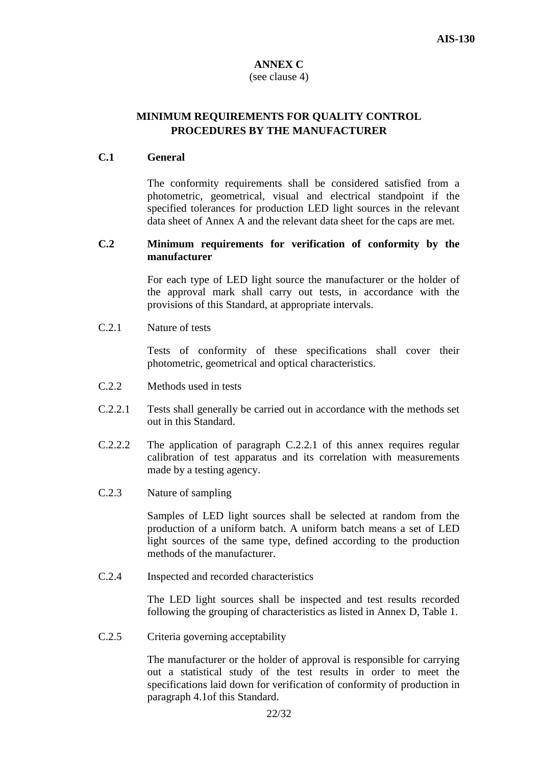# **ANNEX C**

# (see clause 4)

# **MINIMUM REQUIREMENTS FOR QUALITY CONTROL PROCEDURES BY THE MANUFACTURER**

# **C.1 General**

The conformity requirements shall be considered satisfied from a photometric, geometrical, visual and electrical standpoint if the specified tolerances for production LED light sources in the relevant data sheet of Annex A and the relevant data sheet for the caps are met.

# **C.2 Minimum requirements for verification of conformity by the manufacturer**

 For each type of LED light source the manufacturer or the holder of the approval mark shall carry out tests, in accordance with the provisions of this Standard, at appropriate intervals.

C.2.1 Nature of tests

Tests of conformity of these specifications shall cover their photometric, geometrical and optical characteristics.

- C.2.2 Methods used in tests
- C.2.2.1 Tests shall generally be carried out in accordance with the methods set out in this Standard.
- C.2.2.2 The application of paragraph C.2.2.1 of this annex requires regular calibration of test apparatus and its correlation with measurements made by a testing agency.
- C.2.3 Nature of sampling

 Samples of LED light sources shall be selected at random from the production of a uniform batch. A uniform batch means a set of LED light sources of the same type, defined according to the production methods of the manufacturer.

C.2.4 Inspected and recorded characteristics

 The LED light sources shall be inspected and test results recorded following the grouping of characteristics as listed in Annex D, Table 1.

C.2.5 Criteria governing acceptability

The manufacturer or the holder of approval is responsible for carrying out a statistical study of the test results in order to meet the specifications laid down for verification of conformity of production in paragraph 4.1of this Standard.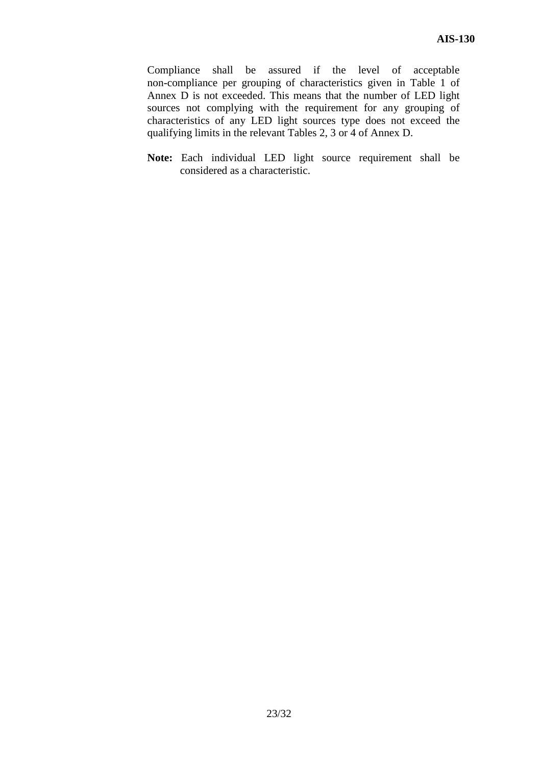Compliance shall be assured if the level of acceptable non-compliance per grouping of characteristics given in Table 1 of Annex D is not exceeded. This means that the number of LED light sources not complying with the requirement for any grouping of characteristics of any LED light sources type does not exceed the qualifying limits in the relevant Tables 2, 3 or 4 of Annex D.

**Note:** Each individual LED light source requirement shall be considered as a characteristic.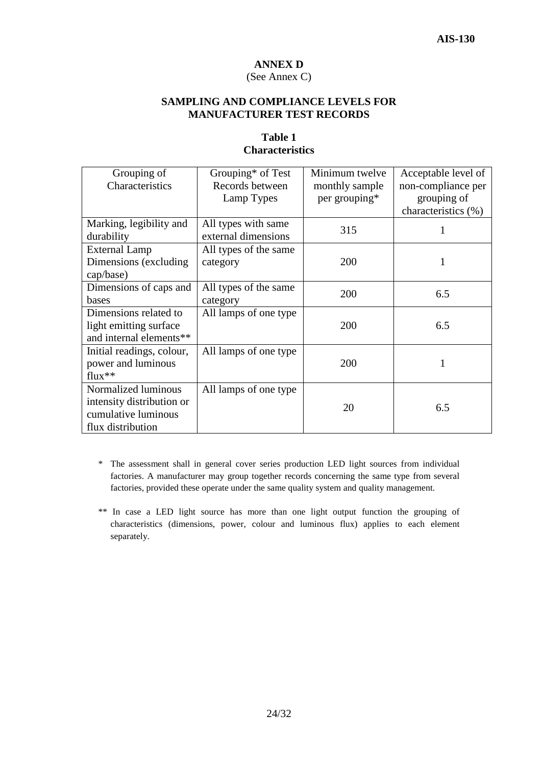# **ANNEX D**

# (See Annex C)

### **SAMPLING AND COMPLIANCE LEVELS FOR MANUFACTURER TEST RECORDS**

# **Table 1 Characteristics**

| Grouping of<br>Characteristics                    | Grouping* of Test<br>Records between<br>Lamp Types | Minimum twelve<br>monthly sample<br>per grouping* | Acceptable level of<br>non-compliance per<br>grouping of |
|---------------------------------------------------|----------------------------------------------------|---------------------------------------------------|----------------------------------------------------------|
| Marking, legibility and                           | All types with same                                |                                                   | characteristics (%)                                      |
| durability                                        | external dimensions                                | 315                                               | 1                                                        |
| <b>External Lamp</b>                              | All types of the same                              |                                                   |                                                          |
| Dimensions (excluding)<br>cap/base)               | category                                           | 200                                               |                                                          |
|                                                   |                                                    |                                                   |                                                          |
| Dimensions of caps and<br>bases                   | All types of the same<br>category                  | 200                                               | 6.5                                                      |
| Dimensions related to                             | All lamps of one type                              |                                                   |                                                          |
| light emitting surface<br>and internal elements** |                                                    | 200                                               | 6.5                                                      |
| Initial readings, colour,                         | All lamps of one type                              |                                                   |                                                          |
| power and luminous<br>$flux**$                    |                                                    | 200                                               | 1                                                        |
| Normalized luminous                               | All lamps of one type                              |                                                   |                                                          |
| intensity distribution or<br>cumulative luminous  |                                                    | 20                                                | 6.5                                                      |
| flux distribution                                 |                                                    |                                                   |                                                          |

- \* The assessment shall in general cover series production LED light sources from individual factories. A manufacturer may group together records concerning the same type from several factories, provided these operate under the same quality system and quality management.
- \*\* In case a LED light source has more than one light output function the grouping of characteristics (dimensions, power, colour and luminous flux) applies to each element separately.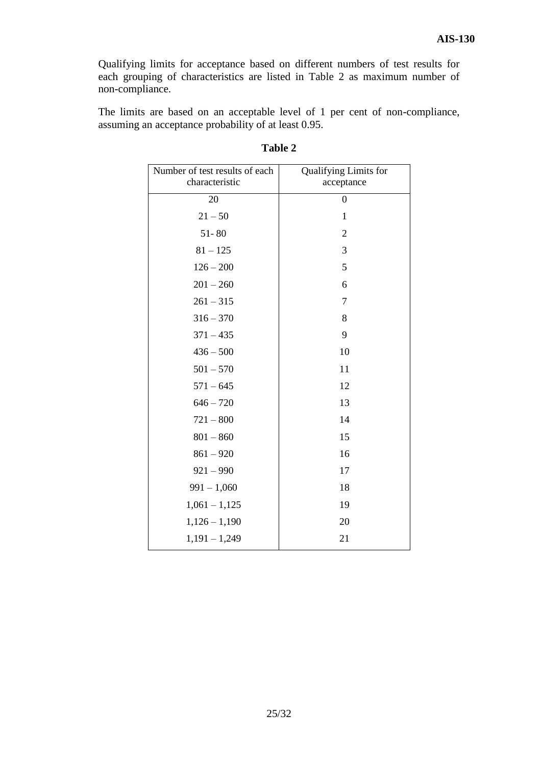Qualifying limits for acceptance based on different numbers of test results for each grouping of characteristics are listed in Table 2 as maximum number of non-compliance.

The limits are based on an acceptable level of 1 per cent of non-compliance, assuming an acceptance probability of at least 0.95.

| Number of test results of each<br>characteristic | Qualifying Limits for<br>acceptance |
|--------------------------------------------------|-------------------------------------|
| 20                                               | $\boldsymbol{0}$                    |
| $21 - 50$                                        | $\mathbf{1}$                        |
| $51 - 80$                                        | 2                                   |
| $81 - 125$                                       | 3                                   |
| $126 - 200$                                      | 5                                   |
| $201 - 260$                                      | 6                                   |
| $261 - 315$                                      | $\overline{7}$                      |
| $316 - 370$                                      | 8                                   |
| $371 - 435$                                      | 9                                   |
| $436 - 500$                                      | 10                                  |
| $501 - 570$                                      | 11                                  |
| $571 - 645$                                      | 12                                  |
| $646 - 720$                                      | 13                                  |
| $721 - 800$                                      | 14                                  |
| $801 - 860$                                      | 15                                  |
| $861 - 920$                                      | 16                                  |
| $921 - 990$                                      | 17                                  |
| $991 - 1,060$                                    | 18                                  |
| $1,061 - 1,125$                                  | 19                                  |
| $1,126 - 1,190$                                  | 20                                  |
| $1,191 - 1,249$                                  | 21                                  |

# **Table 2**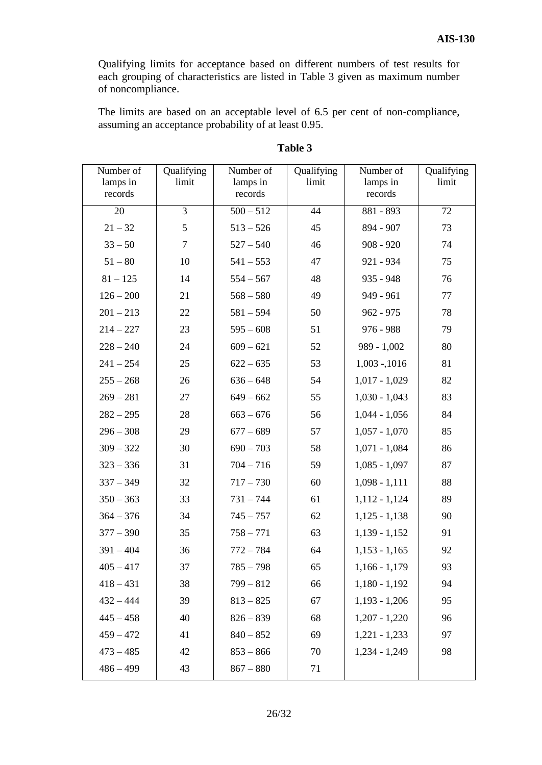Qualifying limits for acceptance based on different numbers of test results for each grouping of characteristics are listed in Table 3 given as maximum number of noncompliance.

The limits are based on an acceptable level of 6.5 per cent of non-compliance, assuming an acceptance probability of at least 0.95.

| Number of<br>lamps in | Qualifying<br>limit | Number of<br>lamps in | Qualifying<br>limit | Number of<br>lamps in | Qualifying<br>limit |
|-----------------------|---------------------|-----------------------|---------------------|-----------------------|---------------------|
| records               |                     | records               |                     | records               |                     |
| 20                    | 3                   | $500 - 512$           | 44                  | 881 - 893             | 72                  |
| $21 - 32$             | 5                   | $513 - 526$           | 45                  | 894 - 907             | 73                  |
| $33 - 50$             | $\overline{7}$      | $527 - 540$           | 46                  | $908 - 920$           | 74                  |
| $51 - 80$             | 10                  | $541 - 553$           | 47                  | 921 - 934             | 75                  |
| $81 - 125$            | 14                  | $554 - 567$           | 48                  | 935 - 948             | 76                  |
| $126 - 200$           | 21                  | $568 - 580$           | 49                  | 949 - 961             | 77                  |
| $201 - 213$           | 22                  | $581 - 594$           | 50                  | $962 - 975$           | 78                  |
| $214 - 227$           | 23                  | $595 - 608$           | 51                  | $976 - 988$           | 79                  |
| $228 - 240$           | 24                  | $609 - 621$           | 52                  | $989 - 1,002$         | 80                  |
| $241 - 254$           | 25                  | $622 - 635$           | 53                  | $1,003 - 1016$        | 81                  |
| $255 - 268$           | 26                  | $636 - 648$           | 54                  | $1,017 - 1,029$       | 82                  |
| $269 - 281$           | 27                  | $649 - 662$           | 55                  | $1,030 - 1,043$       | 83                  |
| $282 - 295$           | 28                  | $663 - 676$           | 56                  | $1,044 - 1,056$       | 84                  |
| $296 - 308$           | 29                  | $677 - 689$           | 57                  | $1,057 - 1,070$       | 85                  |
| $309 - 322$           | 30                  | $690 - 703$           | 58                  | $1,071 - 1,084$       | 86                  |
| $323 - 336$           | 31                  | $704 - 716$           | 59                  | $1,085 - 1,097$       | 87                  |
| $337 - 349$           | 32                  | $717 - 730$           | 60                  | $1,098 - 1,111$       | 88                  |
| $350 - 363$           | 33                  | $731 - 744$           | 61                  | $1,112 - 1,124$       | 89                  |
| $364 - 376$           | 34                  | $745 - 757$           | 62                  | $1,125 - 1,138$       | 90                  |
| $377 - 390$           | 35                  | $758 - 771$           | 63                  | $1,139 - 1,152$       | 91                  |
| $391 - 404$           | 36                  | $772 - 784$           | 64                  | $1,153 - 1,165$       | 92                  |
| $405 - 417$           | 37                  | $785 - 798$           | 65                  | $1,166 - 1,179$       | 93                  |
| $418 - 431$           | 38                  | $799 - 812$           | 66                  | $1,180 - 1,192$       | 94                  |
| $432 - 444$           | 39                  | $813 - 825$           | 67                  | $1,193 - 1,206$       | 95                  |
| $445 - 458$           | 40                  | $826 - 839$           | 68                  | $1,207 - 1,220$       | 96                  |
| $459 - 472$           | 41                  | $840 - 852$           | 69                  | $1,221 - 1,233$       | 97                  |
| $473 - 485$           | 42                  | $853 - 866$           | 70                  | $1,234 - 1,249$       | 98                  |
| $486 - 499$           | 43                  | $867 - 880$           | 71                  |                       |                     |

# **Table 3**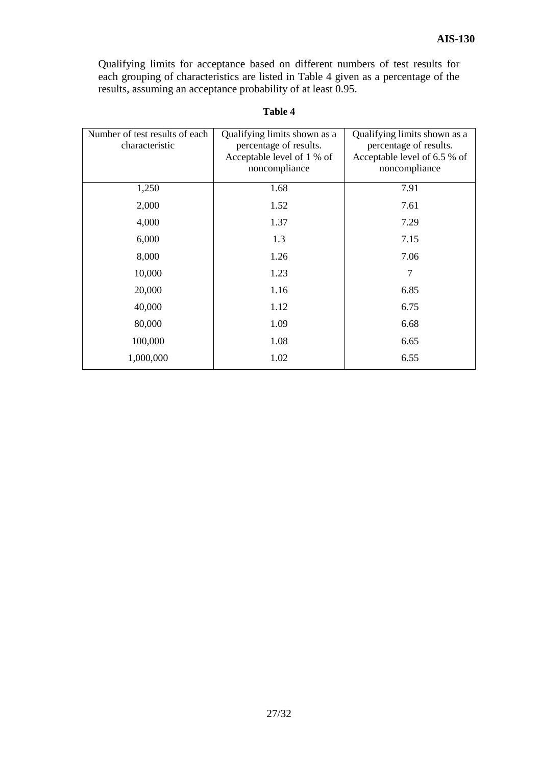Qualifying limits for acceptance based on different numbers of test results for each grouping of characteristics are listed in Table 4 given as a percentage of the results, assuming an acceptance probability of at least 0.95.

| m<br>H<br>и |
|-------------|
|-------------|

| Qualifying limits shown as a<br>percentage of results.<br>Acceptable level of 1 % of<br>noncompliance | Qualifying limits shown as a<br>percentage of results.<br>Acceptable level of 6.5 % of<br>noncompliance |
|-------------------------------------------------------------------------------------------------------|---------------------------------------------------------------------------------------------------------|
| 1.68                                                                                                  | 7.91                                                                                                    |
| 1.52                                                                                                  | 7.61                                                                                                    |
| 1.37                                                                                                  | 7.29                                                                                                    |
| 1.3                                                                                                   | 7.15                                                                                                    |
| 1.26                                                                                                  | 7.06                                                                                                    |
| 1.23                                                                                                  | $\overline{7}$                                                                                          |
| 1.16                                                                                                  | 6.85                                                                                                    |
| 1.12                                                                                                  | 6.75                                                                                                    |
| 1.09                                                                                                  | 6.68                                                                                                    |
| 1.08                                                                                                  | 6.65                                                                                                    |
| 1.02                                                                                                  | 6.55                                                                                                    |
|                                                                                                       |                                                                                                         |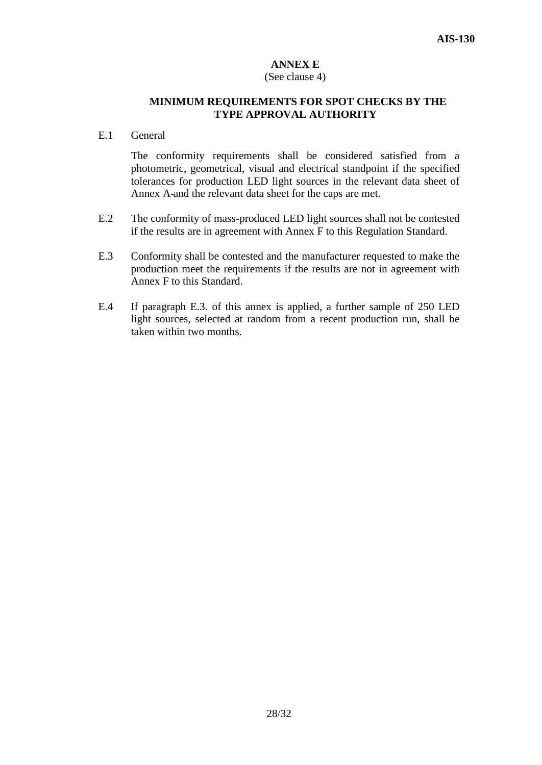# **ANNEX E**

#### (See clause 4)

#### **MINIMUM REQUIREMENTS FOR SPOT CHECKS BY THE TYPE APPROVAL AUTHORITY**

E.1 General

The conformity requirements shall be considered satisfied from a photometric, geometrical, visual and electrical standpoint if the specified tolerances for production LED light sources in the relevant data sheet of Annex A and the relevant data sheet for the caps are met.

- E.2 The conformity of mass-produced LED light sources shall not be contested if the results are in agreement with Annex F to this Regulation Standard.
- E.3 Conformity shall be contested and the manufacturer requested to make the production meet the requirements if the results are not in agreement with Annex F to this Standard.
- E.4 If paragraph E.3. of this annex is applied, a further sample of 250 LED light sources, selected at random from a recent production run, shall be taken within two months.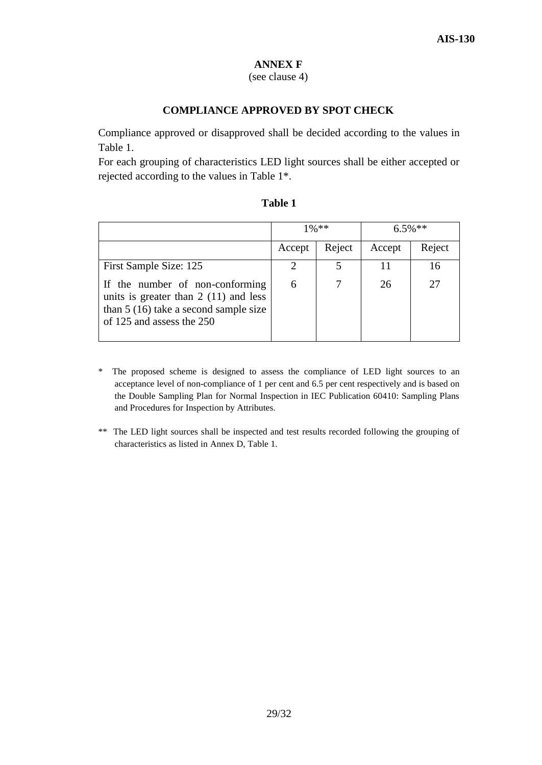# **ANNEX F**

# (see clause 4)

# **COMPLIANCE APPROVED BY SPOT CHECK**

Compliance approved or disapproved shall be decided according to the values in Table 1.

For each grouping of characteristics LED light sources shall be either accepted or rejected according to the values in Table 1\*.

|                                                                                                                                                  | $1\%$ ** |        | $6.5\%**$ |        |
|--------------------------------------------------------------------------------------------------------------------------------------------------|----------|--------|-----------|--------|
|                                                                                                                                                  | Accept   | Reject | Accept    | Reject |
| First Sample Size: 125                                                                                                                           | 2        |        | 11        | 16     |
| If the number of non-conforming<br>units is greater than $2(11)$ and less<br>than $5(16)$ take a second sample size<br>of 125 and assess the 250 | 6        |        | 26        | 27     |

| mı<br>н |  |
|---------|--|
|---------|--|

- \* The proposed scheme is designed to assess the compliance of LED light sources to an acceptance level of non-compliance of 1 per cent and 6.5 per cent respectively and is based on the Double Sampling Plan for Normal Inspection in IEC Publication 60410: Sampling Plans and Procedures for Inspection by Attributes.
- \*\* The LED light sources shall be inspected and test results recorded following the grouping of characteristics as listed in Annex D, Table 1.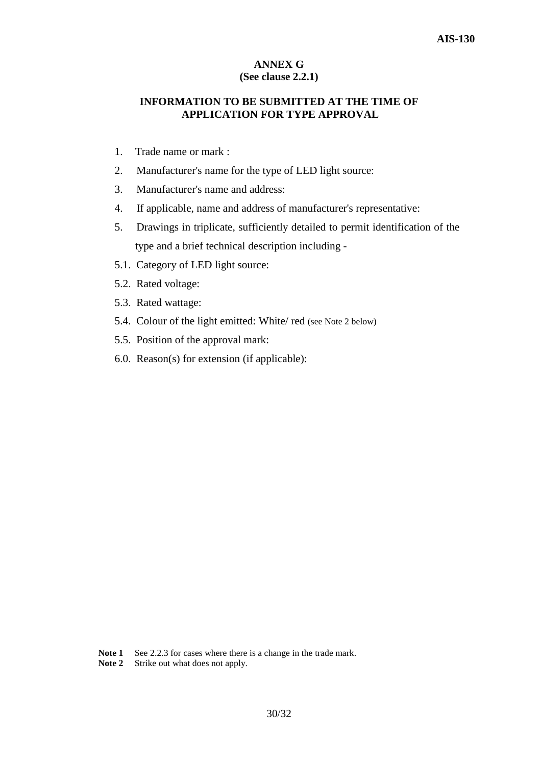# **ANNEX G (See clause 2.2.1)**

# **INFORMATION TO BE SUBMITTED AT THE TIME OF APPLICATION FOR TYPE APPROVAL**

- 1. Trade name or mark :
- 2. Manufacturer's name for the type of LED light source:
- 3. Manufacturer's name and address:
- 4. If applicable, name and address of manufacturer's representative:
- 5. Drawings in triplicate, sufficiently detailed to permit identification of the type and a brief technical description including -
- 5.1. Category of LED light source:
- 5.2. Rated voltage:
- 5.3. Rated wattage:
- 5.4. Colour of the light emitted: White/ red (see Note 2 below)
- 5.5. Position of the approval mark:
- 6.0. Reason(s) for extension (if applicable):

Note 1 See 2.2.3 for cases where there is a change in the trade mark.

**Note 2** Strike out what does not apply.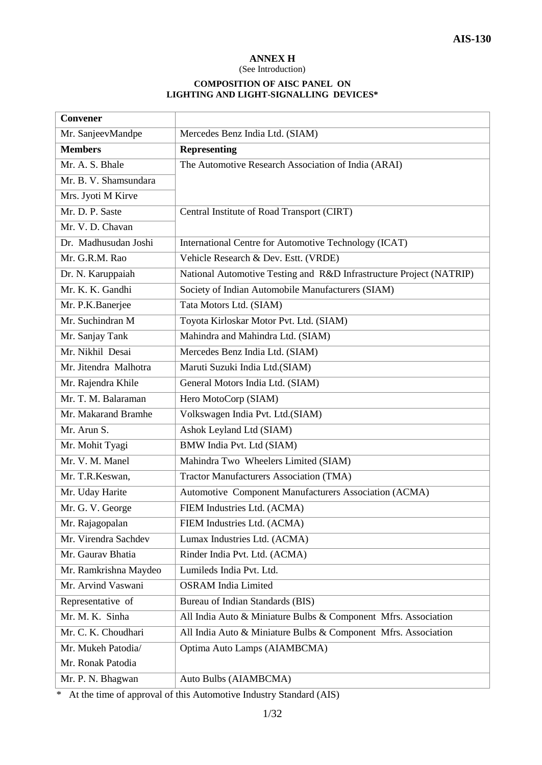# **ANNEX H**

(See Introduction)

#### **COMPOSITION OF AISC PANEL ON LIGHTING AND LIGHT-SIGNALLING DEVICES\***

| <b>Convener</b>       |                                                                     |
|-----------------------|---------------------------------------------------------------------|
| Mr. SanjeevMandpe     | Mercedes Benz India Ltd. (SIAM)                                     |
| <b>Members</b>        | <b>Representing</b>                                                 |
| Mr. A. S. Bhale       | The Automotive Research Association of India (ARAI)                 |
| Mr. B. V. Shamsundara |                                                                     |
| Mrs. Jyoti M Kirve    |                                                                     |
| Mr. D. P. Saste       | Central Institute of Road Transport (CIRT)                          |
| Mr. V. D. Chavan      |                                                                     |
| Dr. Madhusudan Joshi  | International Centre for Automotive Technology (ICAT)               |
| Mr. G.R.M. Rao        | Vehicle Research & Dev. Estt. (VRDE)                                |
| Dr. N. Karuppaiah     | National Automotive Testing and R&D Infrastructure Project (NATRIP) |
| Mr. K. K. Gandhi      | Society of Indian Automobile Manufacturers (SIAM)                   |
| Mr. P.K.Banerjee      | Tata Motors Ltd. (SIAM)                                             |
| Mr. Suchindran M      | Toyota Kirloskar Motor Pvt. Ltd. (SIAM)                             |
| Mr. Sanjay Tank       | Mahindra and Mahindra Ltd. (SIAM)                                   |
| Mr. Nikhil Desai      | Mercedes Benz India Ltd. (SIAM)                                     |
| Mr. Jitendra Malhotra | Maruti Suzuki India Ltd.(SIAM)                                      |
| Mr. Rajendra Khile    | General Motors India Ltd. (SIAM)                                    |
| Mr. T. M. Balaraman   | Hero MotoCorp (SIAM)                                                |
| Mr. Makarand Bramhe   | Volkswagen India Pvt. Ltd.(SIAM)                                    |
| Mr. Arun S.           | Ashok Leyland Ltd (SIAM)                                            |
| Mr. Mohit Tyagi       | BMW India Pvt. Ltd (SIAM)                                           |
| Mr. V. M. Manel       | Mahindra Two Wheelers Limited (SIAM)                                |
| Mr. T.R.Keswan,       | <b>Tractor Manufacturers Association (TMA)</b>                      |
| Mr. Uday Harite       | Automotive Component Manufacturers Association (ACMA)               |
| Mr. G. V. George      | FIEM Industries Ltd. (ACMA)                                         |
| Mr. Rajagopalan       | FIEM Industries Ltd. (ACMA)                                         |
| Mr. Virendra Sachdev  | Lumax Industries Ltd. (ACMA)                                        |
| Mr. Gaurav Bhatia     | Rinder India Pvt. Ltd. (ACMA)                                       |
| Mr. Ramkrishna Maydeo | Lumileds India Pvt. Ltd.                                            |
| Mr. Arvind Vaswani    | <b>OSRAM</b> India Limited                                          |
| Representative of     | Bureau of Indian Standards (BIS)                                    |
| Mr. M. K. Sinha       | All India Auto & Miniature Bulbs & Component Mfrs. Association      |
| Mr. C. K. Choudhari   | All India Auto & Miniature Bulbs & Component Mfrs. Association      |
| Mr. Mukeh Patodia/    | Optima Auto Lamps (AIAMBCMA)                                        |
| Mr. Ronak Patodia     |                                                                     |
| Mr. P. N. Bhagwan     | Auto Bulbs (AIAMBCMA)                                               |

 $\overline{\text{I}}$  \* At the time of approval of this Automotive Industry Standard (AIS)